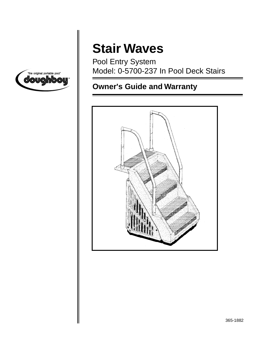

# **Stair Waves**

Pool Entry System Model: 0-5700-237 In Pool Deck Stairs

# **Owner's Guide and Warranty**

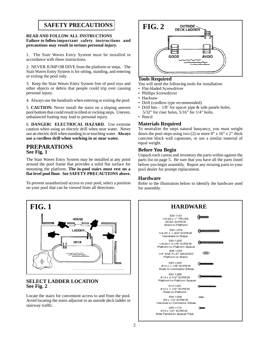### **SAFETY PRECAUTIONS**

#### **READ AND FOLLOW ALL INSTRUCTIONS Failure to follow important safety instructions and precautions may result in serious personal injury.**

1. The Stair Waves Entry System must be installed in accordance with these instructions.

2. NEVER JUMP OR DIVE from the platform or steps. The Stair Waves Entry System is for sitting, standing, and entering or exiting the pool only.

3. Keep the Stair Waves Entry System free of pool toys and other objects or debris that people could trip over causing personal injury.

4. Always use the handrails when entering or exiting the pool.

5. **CAUTION:** Never install the stairs on a sloping uneven pool bottom that could result in tilted or rocking steps. Uneven, unbalanced footing may lead to personal injury.

6. **DANGER! ELECTRICAL HAZARD.** Use extreme caution when using an electric drill when near water. Never use an electric drill when standing in or touching water. **Always use a cordless drill when working in or near water.**

#### **PREPARATIONS See Fig. 1**

The Stair Waves Entry System may be installed at any point around the pool frame that provides a solid flat surface for mounting the platform. **The in-pool stairs must rest on a flat level pool floor. See SAFETY PRECAUTIONS above.**

To prevent unauthorized access to your pool, select a position on your pool that can be viewed from all directions.



#### **SELECT LADDER LOCATION See Fig. 2**

Locate the stairs for convenient access to and from the pool. Avoid locating the stairs adjacent to an outside deck ladder or stairway traffic.



#### **Tools Required**

You will need the following tools for installation:

- Flat-bladed Screwdriver
- Phillips Screwdriver
- Hacksaw
- Drill (cordless type recommended)
- Drill bits 1/8' for spacer pipe & side panels holes,  $5/32$ " for riser holes,  $5/16$ " for  $1/4$ " bolts.
- Pencil

#### **Materials Required**

To neutralize the steps natural buoyancy, you must weight down the pool steps using two  $(2)$  or more 8" x 16" x 2" thick concrete block wall capstones, or use a similar material of equal weight.

#### **Before You Begin**

Unpack each carton and inventory the parts within against the parts list on page 5. Be sure that you have all the parts listed before you begin assembly. Report any missing parts to your pool dealer for prompt replacement.

#### **Hardware**

Refer to the illustration below to identify the hardware used for assembly.

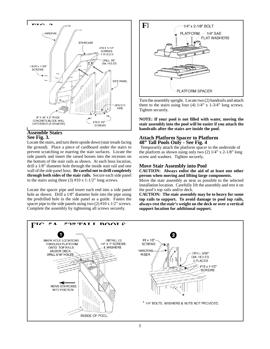

#### **Assemble Stairs See Fig. 3.**

Locate the stairs, and turn them upside down (stair treads facing the ground). Place a piece of cardboard under the stairs to prevent scratching or marring the stair surfaces. Locate the side panels and insert the raised bosses into the recesses on the bottom of the stair rails as shown. At each boss location, drill a 1/8" diameter hole through the inside stair rail and one wall of the side panel boss. **Be careful not to drill completely through both sides of the stair rails.** Secure each side panel to the stairs using three (3)  $#10 \times 1-1/2"$  long screws.

Locate the spacer pipe and insert each end into a side panel hole as shown. Drill a  $1/8$ " diameter hole into the pipe using the predrilled hole in the side panel as a guide. Fasten the spacer pipe to the side panels using two (2) #10 x 1/2" screws. Complete the assembly by tightening all screws securely.



Turn the assembly upright. Locate two (2) handrails and attach them to the stairs using four (4)  $1/4$ " x  $1-3/4$ " long screws. Tighten securely.

**NOTE: If your pool is not filled with water, moving the stair assembly into the pool will be easier if you attach the handrails after the stairs are inside the pool.**

#### **Attach Platform Spacer to Platform 48" Tall Pools Only - See Fig. 4**

Temporarily attach the platform spacer to the underside of the platform as shown using only two  $(2)$  1/4" x 2-1/8" long screw and washers. Tighten securely.

#### **Move Stair Assembly into Pool**

**CAUTION: Always enlist the aid of at least one other person when moving and lifting large components.**

Move the stair assembly as near as possible to the selected installation location. Carefully lift the assembly and rest it on the pool's top rails and/or deck.

**CAUTION: The stair assembly may be to heavy for some top rails to support. To avoid damage to pool top rails, always rest the stair's weight on the deck or over a vertical support location for additional support.**

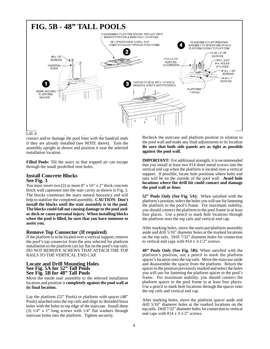

contact and/or damage the pool liner with the handrail ends if they are already installed (see NOTE above). Turn the assembly upright as shown and position it near the selected installation location.

**Filled Pools:** Tilt the stairs so that trapped air can escape through the small predrilled vent holes.

#### **Install Concrete Blocks See Fig. 3**

You must insert two (2) or more 8" x 16" x 2" thick concrete block wall capstones into the stair cavity as shown in Fig. 3. The blocks counteract the stairs natural buoyancy and will help to stabilize the completed assembly. **CAUTION: Don't install the blocks until the stair assembly is in the pool. The blocks could fall out causing damage to the pool and/ or deck or cause personal injury. When installing blocks when the pool is filled, be sure that you have someone to assist you.**

#### **Remove Top Connector (If required)**

If the platform is to be located over a vertical support, remove the pool's top connector from the area selected for platform installation so the platform can lay flat on the pool's top rails. DO NOT REMOVE SCREWS THAT ATTACH THE TOP RAILS TO THE VERTICAL END CAP.

#### **Locate and Drill Mounting Holes See Fig. 5A for 52" Tall Pools See Fig. 5B for 48" Tall Pools**

Move the inside stair assembly to the selected installation location and position it **completely against the pool wall at its final location.**

Lay the platform (52" Pools) or platform with spacer (48" Pools) attached onto the top rails and align its threaded brass holes with the holes in top edge of the staircase. Install three (3)  $1/4$ " x 1" long screws with  $1/4$ " flat washers through staircase holes into the platform. Tighten securely.

Recheck the staircase and platform position in relation to the pool wall and make any final adjustments to its location **Be sure that both side panels are as tight as possible against the pool wall.**

**IMPORTANT:** For additional strength, it is recommended that you install at least two #14 sheet metal screws into the vertical end cap when the platform is located over a vertical support. If possible, locate hole positions where bolts and nuts will be on the outside of the pool wall. **Avoid hole locations where the drill bit could contact and damage the pool wall or liner.**

**52" Pools Only (See Fig. 5A):** When satisfied with the platform's position, select the holes you will use for fastening the platform to the pool's frame. For maximum stability, you should connect the platform to the pool frame in at least four places. Use a pencil to mark hole locations through the platform onto the top rails and vertical end cap.

After marking holes, move the staircase/platform assembly aside and drill 5/16" diameter holes at the marked locations on the top rails. Drill 7/32" diameter holes for connection to vertical end caps with #14 x 3-1/2" screws.

**48" Pools Only (See Fig. 5B):** When satisfied with the platform's position, use a pencil to mark the platform spacer's location onto the top rails. Move the staircase aside and disassemble the spacer from the platform. Return the spacer to the position previously marked and select the holes you will use for fastening the platform spacer to the pool's frame. For maximum stability, you should connect the platform spacer to the pool frame in at least four places. Use a pencil to mark hole locations through the spacer onto the top rails and vertical end cap.

After marking holes, move the platform spacer aside and drill 5/16" diameter holes at the marked locations on the top rails. Drill 7/32" diameter holes for connection to vertical end caps with #14 x 3-1/2" screws.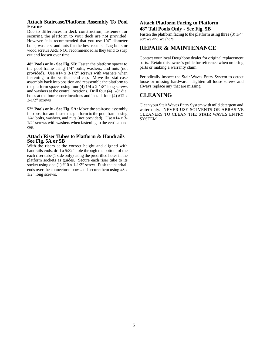#### **Attach Staircase/Platform Assembly To Pool Frame**

Due to differences in deck construction, fasteners for securing the platform to your deck are not provided. However, it is recommended that you use 1/4" diameter bolts, washers, and nuts for the best results. Lag bolts or wood screws ARE NOT recommended as they tend to strip out and loosen over time.

**48" Pools only - See Fig. 5B:** Fasten the platform spacer to the pool frame using  $1/4$ " bolts, washers, and nuts (not provided). Use  $#14 \times 3-1/2$ " screws with washers when fastening to the vertical end cap. Move the staircase assembly back into position and reassemble the platform to the platform spacer using four (4)  $1/4 \times 2$ -1/8" long screws and washers at the central locations. Drill four (4) 1/8" dia. holes at the four corner locations and install four  $(4)$  #12 x 2-1/2" screws

**52" Pools only - See Fig. 5A:** Move the staircase assembly into position and fasten the platform to the pool frame using 1/4" bolts, washers, and nuts (not provided). Use #14 x 3- 1/2" screws with washers when fastening to the vertical end cap.

#### **Attach Riser Tubes to Platform & Handrails See Fig. 5A or 5B**

With the risers at the correct height and aligned with handrails ends, drill a 5/32" hole through the bottom of the each riser tube (1 side only) using the predrilled holes in the platform sockets as guides. Secure each riser tube to its socket using one (1)  $#10 \times 1-1/2$ " screw. Push the handrail ends over the connector elbows and secure them using #8 x 1/2" long screws.

#### **Attach Platform Facing to Platform 48" Tall Pools Only - See Fig. 5B**

Fasten the platform facing to the platform using three (3) 1/4" screws and washers.

### **REPAIR & MAINTENANCE**

Contact your local Doughboy dealer for original replacement parts. Retain this owner's guide for reference when ordering parts or making a warranty claim.

Periodically inspect the Stair Waves Entry System to detect loose or missing hardware. Tighten all loose screws and always replace any that are missing.

### **CLEANING**

Clean your Stair Waves Entry System with mild detergent and water only. NEVER USE SOLVENTS OR ABRASIVE CLEANERS TO CLEAN THE STAIR WAVES ENTRY SYSTEM.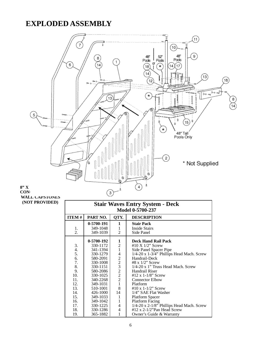## **EXPLODED ASSEMBLY**

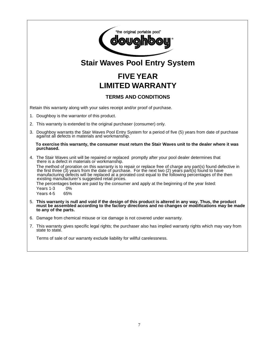

# **Stair Waves Pool Entry System**

# **FIVE YEAR LIMITED WARRANTY**

### **TERMS AND CONDITIONS**

Retain this warranty along with your sales receipt and/or proof of purchase.

- 1. Doughboy is the warrantor of this product.
- 2. This warranty is extended to the original purchaser (consumer) only.
- 3. Doughboy warrants the Stair Waves Pool Entry System for a period of five (5) years from date of purchase against all defects in materials and workmanship.

#### **To exercise this warranty, the consumer must return the Stair Waves unit to the dealer where it was purchased.**

4. The Stair Waves unit will be repaired or replaced promptly after your pool dealer determines that there is a defect in materials or workmanship. The method of proration on this warranty is to repair or replace free of charge any part(s) found defective in the first three (3) years from the date of purchase. For the next two (2) years part(s) found to have manufacturing defects will be replaced at a prorated cost equal to the following percentages of the then existing manufacturer's suggested retail prices. The percentages below are paid by the consumer and apply at the beginning of the year listed:

Years 1-3 0%

Years 4-5 65%

- 5. **This warranty is null and void if the design of this product is altered in any way. Thus, the product must be assembled according to the factory directions and no changes or modifications may be made to any of the parts.**
- 6. Damage from chemical misuse or ice damage is not covered under warranty.
- 7. This warranty gives specific legal rights; the purchaser also has implied warranty rights which may vary from state to state.

Terms of sale of our warranty exclude liability for willful carelessness.